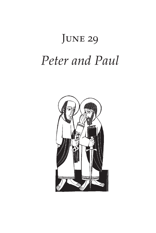# JUNE 29 *Peter and Paul*

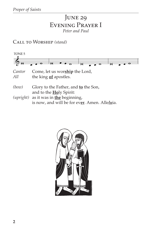# **JUNE 29** Evening Prayer I *Peter and Paul*

Call to Worship *(stand)*



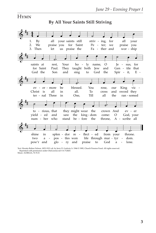#### **HYMN**

#### **By All Your Saints Still Striving**



Text: Horatio Bolton Nelson, 1823-1913; alt. by Jerry D. Godwin, b. 1944 © 1985, Church Pension Fund. All rights reserved. Reprinted with permission under OneLicense.net #A-712825. Music: AURELIA, 76 76 D.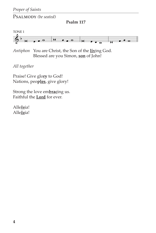PSALMODY *(be seated)* 

**Psalm 117**



*Antiphon* You are Christ, the Son of the **liv**ing God. Blessed are you Simon, **son** of John!

*All together*

Praise! Give glo**ry** to God! Nations, peo**ples**, give glory!

Strong the love em**brac**ing us. Faithful the **Lord** for ever.

Alle*lu*ia! Alle*lu*ia!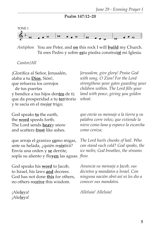**Psalm 147:12–20**



*Antiphon* You are Peter, and **on** this rock I will **build** my Church. Tú eres Pedro y sobre **es**ta piedra construi**ré** mi Iglesia.

#### *Cantor/All*

¡Glorifica al Señor, Jerusalén, alaba a tu **Dios**, Sión!, que refuerza los cerrojos de tus puertas y bendice a tus hijos den**tro** de ti; que da prosperidad a tu **ter**ritorio y te sacia en el me*jor* trigo;

God speaks **to** the earth, the **word** speeds forth. The Lord sends **heav**y snow and scatters **frost** like ashes.

que arroja el granizo **co**mo migas, ante su helada, ¿quién re**sis**tirá? Envía una orden y **se** derrite, sopla su aliento y flu**yen** las aguas. *flow.*

God speaks his **word** to Jacob, to Israel, his laws **and** decrees. God has not done **this** for others, no others re**ceive** this wisdom.

¡Ale*lu*ya! ¡Ale*lu*ya! *Jerusalem, give glory! Praise God with song, O Zion! For the Lord strengthens your gates guarding your children within. The Lord fills your land with peace, giving you golden wheat.*

*que envía su mensaje a la tierra y su palabra corre veloz; que extiende la nieve como lana y esparce la escarcha como ceniza;*

*The Lord hurls chunks of hail. Who can stand such cold? God speaks, the ice melts; God breathes, the streams* 

*Anuncia su mensaje a Jacob, sus decretos y mandatos a Israel. Con ninguna nación obró así ni les dio a conocer sus mandatos.*

*Alleluia! Alleluia!*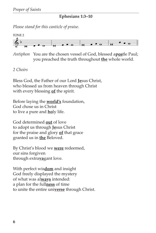**Ephesians 1:3–10**

*Please stand for this canticle of praise.*



*Antiphon* You are the chosen vessel of God, blessed a**pos**tle Paul; you preached the truth throughout **the** whole world.

#### *2 Choirs*

Bless God, the Father of our Lord **Je**sus Christ, who blessed us from heaven through Christ with every blessing **of** the spirit.

Before laying the **world's** foundation, God chose us in Christ to live a pure and **ho**ly life.

God determined **out** of love to adopt us through **Je**sus Christ for the praise and glory **of** that grace granted us in **the** Beloved.

By Christ's blood we **were** redeemed, our sins forgiven through extra**va**gant love.

With perfect wis**dom** and insight God freely displayed the mystery of what was al**ways** intended: a plan for the full**ness** of time to unite the entire uni**verse** through Christ.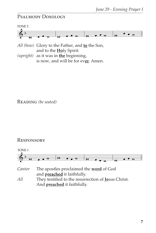### Psalmody Doxology



*All (bow)* Glory to the Father, and **to** the Son, and to the **Ho**ly Spirit:

*(upright)* as it was in **the** beginning, is now, and will be for ev**er**. Amen.

Reading *(be seated)*

#### **RESPONSORY**



```
And preached it faithfully.
```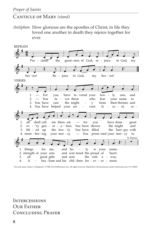#### CANTICLE OF MARY *(stand)*

*Antiphon* How glorious are the apostles of Christ; in life they loved one another in death they rejoice together for ever.



Text and music: James J. Chepponis, © 1980, GIA Publications, Inc. All rights reserved. Reprinted with permission under OneLicense.net, #A-712825.

**INTERCESSIONS** OUR FATHER Concluding Prayer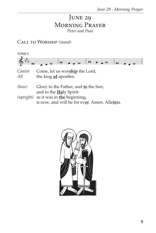# **JUNE 29** Morning Prayer *Peter and Paul*

Call to Worship *(stand)*



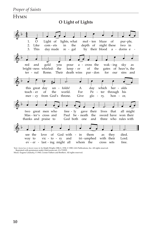#### **HYMN O Light of Lights**  $\&\,$ <sup>b</sup> 4 4  $\overline{\bullet}$ <br>1.  $\overline{\bullet}$ 2. 3. This Like O œ œ œ œ œ Light of day made com - ets lights, what in re - gal the  $\overrightarrow{e}$ mol - ten depth of by their blood blaze night these of a - dorns e -  $\overline{\phantom{a}}$ pur-ple, two in  $\overset{\circ}{\diamond}$  b  $\cdot$ ter - nal bright-ness whirled: red and gold Rome. you the Their œ œ œ œ œ pour keep - er death wins a - cross the of par - don the  $\overrightarrow{e}$ wak - ing gates of heav'n, the for our sky sins and as  $\&b$  e te to this great day teach - er mer - cy from God's throne. of un - folds! the  $\theta$ . world. A For Give  $\bullet$   $\bullet$   $\bullet$   $\bullet$ day Pe glo which ter through his ry, her - alds hon - or,  $\phi$  b  $\bullet$   $\bullet$   $\bullet$   $\bullet$   $\bullet$ two great men who Mas - ter's cross and thanks and praise to  $\overline{\cdot}$   $\overline{\cdot}$   $\overline{\cdot}$   $\overline{\cdot}$ free - ly gave their Paul be - neath the God both one and  $\overline{\phi}$ . lives that sword have won their three who rules with —<br>● ● <u>●</u> all might  $\mathbb{S}^{\flat}$  . see the way to ev - er - last - ing might all <sup>œ</sup> <sup>œ</sup> <sup>œ</sup> <sup>œ</sup> love vic - to - ry of God with - in and œ œ œ œ œ tri - umphed whom the them as with their cross sets they  $\frac{1}{a}$ . died. Lord. free.

Text: *Aurea luce et decore roseo*; tr. by Ralph Wright, OSB, b. 1938, © 1989, GIA Publications, Inc. All rights reserved.

Reprinted with permission under OneLicense.net, #A-712925. Music: Eugene Lindusky, © 1965, Crosier Fathers and Brothers. All rights reserved.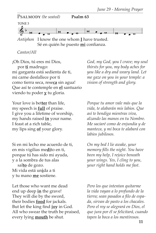

*Cantor/All*

¡Oh Dios, tú eres mi Dios, por **ti** madrugo: mi garganta está sedienta de ti, mi carne desfallece por ti como tierra seca, rese**ca** sin agua! Que así te contemple en **el** santuario viendo tu poder **y** tu gloria.

Your love is bet**ter** than life, my speech is **full** of praise. I give you a lifetime of worship, my hands raised **in** your name. I feast at a rich table, my lips sing **of** your glory.

Si en mi lecho me acuerdo de ti, en mis vigilias me**di**to en ti, porque tú has sido mi ayuda, y a la sombra de tus alas sal**to** de gozo. Mi vida está un**i**da a ti y tu mano **me** sostiene.

Let those who want me dead end up deep **in** the grave! They will die by the sword, their bodies **food** for jackals. But let the king find **joy** in God. All who swear the truth be praised, every lying **mouth** be shut.

*God, my God, you I crave; my soul thirsts for you, my body aches for you like a dry and weary land. Let me gaze on you in your temple: a vision of strength and glory.*

*Porque tu amor vale más que la vida, te alabarán mis labios. Que así te bendiga mientras viva, alzando las manos en tu Nombre. Me saciaré como de enjundia y de manteca, y mi boca te alabará con labios jubilosos.*

*On my bed I lie awake, your memory fills the night. You have been my help, I rejoice beneath your wings. Yes, I cling to you, your right hand holds me fast.*

*Pero los que intentan quitarme la vida vayan a lo profundo de la tierra; sean pasados a filo de espada, sirvan de pasto a los chacales. Pero el rey se alegrará en Dios, el que jura por él se felicitará, cuando tapen la boca a los mentirosos.*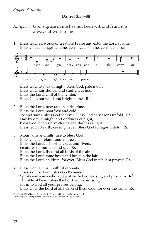#### **Daniel 3:56–88**

*Antiphon* God's grace in me has not been without fruit; it is always at work in me.

1. Bless God, all works of creation! Praise and extol the Lord's name! Bless God, all angels and heavens, waters in heaven's deep frame!



 Bless God, O stars of night. Bless God, pale moon. Bless God, fair shower and sunlight at noon. Bless the Lord, chill of the winter. Bless God, hot wind and bright flame! **R**/.

- 2. Bless the Lord, new rain in springtime. Bless the Lord, hoarfrost and cold. Ice and snow, bless God for ever! Bless God as seasons unfold. **R/.** Day by day, sunlight and darkness of night, bless God, deep storm clouds and ßashes of light. Bless God, O earth, ceasing never. Bless God for ages untold. **R/.**
- 3. Mountains and hills, rise to bless God. Bless God, all plants and all trees. Bless the Lord, all springs, seas and rivers, creatures of fountain and sea. **R/.** Bless the Lord, fish and all birds of the air. Bless the Lord, tame beast and beast in the lair. Bless the Lord, children, for ever! Bless God in jubilant prayer! **R/.**
- 4. Bless God, all just, faithful servants. Priests of the Lord, bless God's name. Spirits and souls who love justice, holy ones, sing and proclaim. **R/.** Humble of heart, bless the Lord with your song, for unto God all your praises belong. Bless God, the Lord of all heavens! Bless God, for ever the same! **R/.**

Text: Bernard Mischke, osc, © 1968, Crosier Fathers and Brothers. All rights reserved. Music: Eugene Lindusky, © 1968, Crosier Fathers and Brothers. All rights reserved.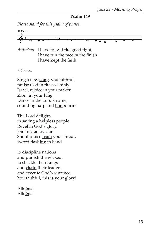#### **Psalm 149**

*Please stand for this psalm of praise.*

 $\bigoplus_{i=1}^{\infty}$  by  $\bullet \bullet^{\circ}$ TONE 1 <sup>á</sup> <sup>œ</sup> <sup>œ</sup> <sup>w</sup> <sup>á</sup> <sup>œ</sup> <sup>œ</sup> <sup>w</sup> <sup>á</sup> <sup>œ</sup> <sup>œ</sup> <sup>w</sup>

*Antiphon* I have fought **the** good fight; I have run the race **to** the finish I have **kept** the faith.

#### *2 Choirs*

Sing a new **song**, you faithful, praise God in **the** assembly. Israel, rejoice in your maker, Zion, **in** your king. Dance in the Lord's name, sounding harp and **tam**bourine.

The Lord delights in saving a **help**less people. Revel in God's glory, join in **clan** by clan. Shout praise **from** your throat, sword flash**ing** in hand

to discipline nations and pun**ish** the wicked, to shackle their kings and **chain** their leaders, and exe**cute** God's sentence. You faithful, this **is** your glory!

Alle*lu*ia! Alle*lu*ia!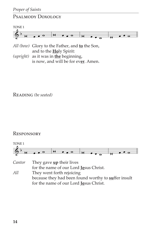## Psalmody Doxology



- *All (bow)* Glory to the Father, and **to** the Son, and to the **Ho**ly Spirit:
- *(upright)* as it was in **the** beginning, is now, and will be for ev**er**. Amen.

Reading *(be seated)*

#### **RESPONSORY**



*Cantor* They gave **up** their lives for the name of our Lord **Je**sus Christ. *All* They went forth rejoicing because they had been found worthy to **su**ffer insult for the name of our Lord **Je**sus Christ.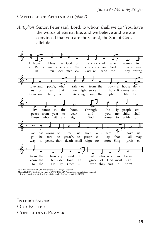#### CANTICLE OF ZECHARIAH *(stand)*

*Antiphon* Simon Peter said: Lord, to whom shall we go? You have the words of eternal life; and we believe and we are convinced that you are the Christ, the Son of God, alleluia.

 $\leftarrow$   $4$ 4  $\overline{\cdot}$ 3. 2. 1. Now  $Re$ In  $\cdot$  $\qquad \qquad \bullet$ ten - der mer - cy, mem - ber - ing bless the God the of œ œ œ œ œ God will send the cov - e - nant, Is - ra - el, God who  $\overline{\cdot}$ œ day - spring res - cues comes in  $\overset{\circ}{\circ}$   $\cdot$   $\cdot$ from on us from love and  $\frac{1}{\sigma}$ . high, fear, pow'r, our that who  $\cdot$  $\begin{array}{ccc} \bullet & \bullet & \bullet \end{array}$ ris - ing we might serve in rais - es sun, the from the œ œ œ œ œ light of ho - li - ness roy - al house life for and de - & <sup>b</sup> <sup>œ</sup> <sup>œ</sup> <sup>œ</sup> <sup>œ</sup> those peace from liv - 'rance who sit year in and to this  $\overline{c}$ . sigh. year; hour. God and Through  $\overline{\phantom{a}}$  $\overline{\phantom{a}}$ comes you, ho - ly to my guide child, proph - ets our shall  $\overset{\circ}{\bullet}$  b  $\overset{\circ}{\bullet}$  $\bullet$   $\bullet$   $\bullet$ way go God to peace, that death shall reign no be - fore has sworn to to œ œ œ œ preach, free to us proph - e from a -  $\frac{1}{\epsilon}$ . more. Sing sy, larm, that to  $\cdot$ œ prais - es all save may us  $\phi$  b  $\bullet$  . to know the from the the œ œ œ œ œ Ho - ly ten - der heav - y One! love, hand O the of  $\overrightarrow{e}$   $\overrightarrow{e}$   $\overrightarrow{e}$ wor - ship grace of all who wish and God most high. a - dore! us ú. harm.

Text: Ruth Duck © 1992, GIA Publications, Inc. All rights reserved. Music: HURON, CMD; David Haas, b. 1959 © 1986, GIA Publications, Inc. All rights reserved.

Text and music reprinted with permission under OneLicense.net, #A-712825.

**INTERCESSIONS** OUR FATHER CONCLUDING PRAYER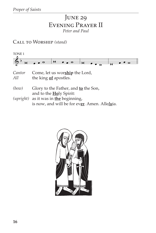# JUNE 29 Evening Prayer II *Peter and Paul*

Call to Worship *(stand)*

| TONE 1        |                                                         |
|---------------|---------------------------------------------------------|
|               |                                                         |
| Cantor<br>All | Come, let us worship the Lord,<br>the king of apostles. |
| $(h_{071})$   | Clory to the Eather and to the Son                      |

- *(bow)* Glory to the Father, and **to** the Son, and to the **Ho**ly Spirit: *(upright)* as it was in **the** beginning,
	- is now, and will be for ev**er**. Amen. Alle*lu*ia.

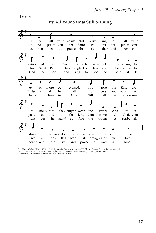#### **HYMN**

**By All Your Saints Still Striving**



Text: Horatio Bolton Nelson, 1823-1913; alt. by Jerry D. Godwin, b. 1944, © 1985, Church Pension Fund. All rights reserved. Music: MERLE'S TUNE, 76 76 D; Hal H. Hopson, b. 1933, © 1983, Hope Publishing Co. All rights reserved. Reprinted with permission under OneLicense.net, #A-712825.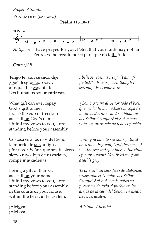Psalmody *(be seated)*





*Antiphon* I have prayed for you, Peter, that your faith **may** not fail. Pedro, yo he rezado por ti para que no fa**lle** tu fe.

*Cantor/All*

Tengo fe, aun **cuan**do dije: ¡Qué desgra**cia**do soy!; aunque dije **es**pantado: Los humanos son **men**tirosos.

What gift can ever repay God's **gift** to me? I raise the cup of freedom as I call **on** God's name! I fulfill my vows **to** you, Lord, standing before **your** assembly.

Costosa es a los ojos **del** Señor la muerte de **sus** amigos. ¡Por favor, Señor, que soy tu siervo, siervo tuyo, hijo de **tu** esclava, rompe **mis** cadenas!

I bring a gift of thanks, as I call **on** your name. I fulfill my vows to you, Lord, standing before **your** assembly, in the courts **of** your house, within the heart **of** Jerusalem.

¡Alel*u*ya! ¡Alel*u*ya!

*I believe, even as I say, "I am afflicted." I believe, even though I scream, "Everyone lies!"*

*¿Cómo pagaré al Señor todo el bien que me ha hecho? Alzaré la copa de la salvación invocando el Nombre del Señor. Cumpliré al Señor mis votos en presencia de todo el pueblo.*

*Lord, you hate to see your faithful ones die. I beg you, Lord, hear me: it is I, the servant you love, I, the child of your servant. You freed me from death's grip.*

*Te ofreceré un sacrificio de alabanza, invocando el Nombre del Señor. Cumpliré al Señor mis votos en presencia de todo el pueblo en los atrios de la casa del Señor, en medio de ti, Jerusalén.*

*Alleluia! Alleluia!*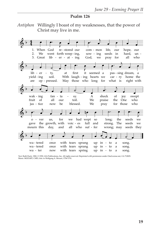#### **Psalm 126**

*Antiphon* Willingly I boast of my weaknesses, that the power of Christ may live in me.

| When<br>1.  | God                        |            | re-stored our |                            | com - mon   |                | life,<br>our |       | hope,             | our   |
|-------------|----------------------------|------------|---------------|----------------------------|-------------|----------------|--------------|-------|-------------------|-------|
| 2.<br>We    | went forth weep-ing,       |            |               |                            | sow - $ing$ |                | seeds<br>in  |       | hard, un -        |       |
| 3.          | Great lib - er - at - ing  |            |               |                            | God, we     |                | for<br>pray  |       | all               | who   |
|             |                            |            |               |                            |             |                |              |       |                   |       |
|             |                            |            |               |                            |             |                |              |       |                   |       |
|             |                            |            |               |                            |             |                |              |       |                   |       |
|             |                            |            |               |                            |             |                |              |       |                   |       |
| lib - er    | ty,<br>$\sigma_{\rm{max}}$ | at         | first         | it                         | seemed a    |                |              |       | pas - sing dream, | a a   |
| yield - ing | soil.                      |            |               | With laugh - ing hearts we |             |                | car - ry     |       | home the          |       |
| are         | op - pressed.              |            |               | May those who long         |             | for            | what is      |       | right with        |       |
|             |                            |            |               |                            |             |                |              |       |                   |       |
|             |                            |            |               |                            |             |                |              |       |                   |       |
|             |                            |            |               |                            |             |                |              |       |                   |       |
|             |                            |            |               |                            |             |                |              |       |                   |       |
|             |                            |            |               |                            |             |                |              |       |                   |       |
| wak - ing   | fan - ta                   |            | sy.           |                            | A           | shock          | οf           | joy   |                   | swept |
| fruit of    | all                        | our        | toil.         |                            | We          | praise         | the          | One   |                   | who   |
| jus - tice  | now                        | be         | blessed.      |                            | We          | pray           | for          | those |                   | who   |
|             |                            |            |               |                            |             |                |              |       |                   |       |
|             |                            |            |               |                            |             |                |              |       |                   |       |
|             |                            |            |               |                            |             |                |              |       |                   |       |
|             |                            |            |               |                            |             |                |              |       |                   |       |
| o - ver     | us.                        | for        | we            | had wept so                |             |                | long;        | the   | seeds             | we    |
| gave        | the growth, with           |            |               | voic - es full and         |             |                | strong.      | The   | seeds             | we    |
| mourn this  | day,                       | and        | all           | who suf - fer              |             |                | wrong; may   |       | seeds             | they  |
|             |                            |            |               |                            |             |                |              |       |                   |       |
|             |                            |            |               |                            |             |                |              |       |                   |       |
|             |                            |            |               |                            |             |                |              |       |                   |       |
| wa - tered  | once                       |            | with tears    |                            |             | $up$ in $-$ to | a            |       | song.             |       |
| wa - tered  | once                       | with tears |               | sprang<br>sprang           | up          | in - to        | a            |       | song.             |       |

Text: Ruth Duck, 1982, © 1992, GIA Publications, Inc. All rights reserved. Reprinted with permission under OneLicense.net, #A-712825.<br>Music: MOZART, CMD; Attr. to Wolfgang A. Mozart, 1756-1791.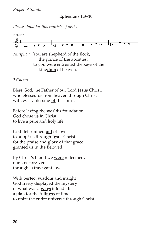#### **Ephesians 1:3–10**

*Please stand for this canticle of praise.*



*Antiphon* You are shepherd of the flock, the prince of **the** apostles; to you were entrusted the keys of the king**dom** of heaven.

*2 Choirs*

Bless God, the Father of our Lord **Je**sus Christ, who blessed us from heaven through Christ with every blessing **of** the spirit.

Before laying the **world's** foundation, God chose us in Christ to live a pure and **ho**ly life.

God determined **out** of love to adopt us through **Je**sus Christ for the praise and glory **of** that grace granted us in **the** Beloved.

By Christ's blood we **were** redeemed, our sins forgiven through extra**va**gant love.

With perfect wis**dom** and insight God freely displayed the mystery of what was al**ways** intended: a plan for the full**ness** of time to unite the entire uni**verse** through Christ.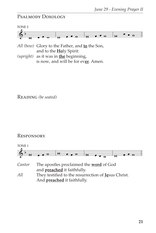### Psalmody Doxology



- *All (bow)* Glory to the Father, and **to** the Son, and to the **Ho**ly Spirit:
- *(upright)* as it was in **the** beginning, is now, and will be for ev**er**. Amen.

Reading *(be seated)*

#### Responsory